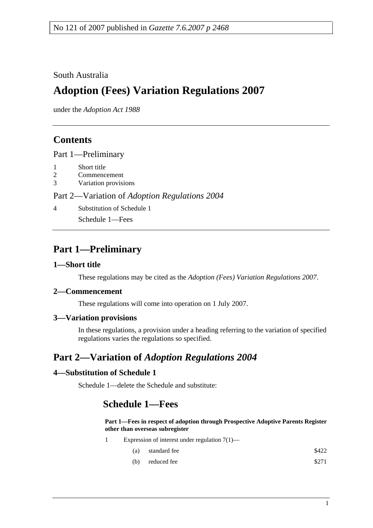### South Australia

# **Adoption (Fees) Variation Regulations 2007**

under the *Adoption Act 1988*

### **Contents**

Part 1—Preliminary

- 1 Short title
- 2 Commencement
- 3 Variation provisions

Part 2—Variation of *Adoption Regulations 2004*

4 Substitution of Schedule 1

Schedule 1—Fees

## **Part 1—Preliminary**

#### **1—Short title**

These regulations may be cited as the *Adoption (Fees) Variation Regulations 2007*.

#### **2—Commencement**

These regulations will come into operation on 1 July 2007.

#### **3—Variation provisions**

In these regulations, a provision under a heading referring to the variation of specified regulations varies the regulations so specified.

## **Part 2—Variation of** *Adoption Regulations 2004*

#### **4—Substitution of Schedule 1**

Schedule 1—delete the Schedule and substitute:

### **Schedule 1—Fees**

**Part 1—Fees in respect of adoption through Prospective Adoptive Parents Register other than overseas subregister**

- 1 Expression of interest under regulation 7(1)—
	- (a) standard fee  $\$422$
	- (b) reduced fee  $$271$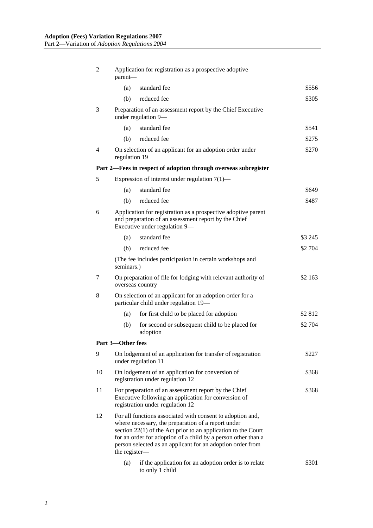| 2                 | Application for registration as a prospective adoptive<br>parent-                                                                                                                                                                                                                                                                   |                                                                                    |         |  |  |  |
|-------------------|-------------------------------------------------------------------------------------------------------------------------------------------------------------------------------------------------------------------------------------------------------------------------------------------------------------------------------------|------------------------------------------------------------------------------------|---------|--|--|--|
|                   | (a)                                                                                                                                                                                                                                                                                                                                 | standard fee                                                                       | \$556   |  |  |  |
|                   | (b)                                                                                                                                                                                                                                                                                                                                 | reduced fee                                                                        | \$305   |  |  |  |
| 3                 |                                                                                                                                                                                                                                                                                                                                     | Preparation of an assessment report by the Chief Executive<br>under regulation 9-  |         |  |  |  |
|                   | (a)                                                                                                                                                                                                                                                                                                                                 | standard fee                                                                       | \$541   |  |  |  |
|                   | (b)                                                                                                                                                                                                                                                                                                                                 | reduced fee                                                                        | \$275   |  |  |  |
| 4                 | regulation 19                                                                                                                                                                                                                                                                                                                       | On selection of an applicant for an adoption order under                           | \$270   |  |  |  |
|                   | Part 2—Fees in respect of adoption through overseas subregister                                                                                                                                                                                                                                                                     |                                                                                    |         |  |  |  |
| 5                 | Expression of interest under regulation $7(1)$ —                                                                                                                                                                                                                                                                                    |                                                                                    |         |  |  |  |
|                   | (a)                                                                                                                                                                                                                                                                                                                                 | standard fee                                                                       | \$649   |  |  |  |
|                   | (b)                                                                                                                                                                                                                                                                                                                                 | reduced fee                                                                        | \$487   |  |  |  |
| 6                 | Application for registration as a prospective adoptive parent<br>and preparation of an assessment report by the Chief<br>Executive under regulation 9-                                                                                                                                                                              |                                                                                    |         |  |  |  |
|                   | (a)                                                                                                                                                                                                                                                                                                                                 | standard fee                                                                       | \$3 245 |  |  |  |
|                   | (b)                                                                                                                                                                                                                                                                                                                                 | reduced fee                                                                        | \$2 704 |  |  |  |
|                   | (The fee includes participation in certain workshops and<br>seminars.)                                                                                                                                                                                                                                                              |                                                                                    |         |  |  |  |
| 7                 | On preparation of file for lodging with relevant authority of<br>overseas country                                                                                                                                                                                                                                                   |                                                                                    | \$2 163 |  |  |  |
| 8                 | On selection of an applicant for an adoption order for a<br>particular child under regulation 19-                                                                                                                                                                                                                                   |                                                                                    |         |  |  |  |
|                   | (a)                                                                                                                                                                                                                                                                                                                                 | for first child to be placed for adoption                                          | \$2 812 |  |  |  |
|                   | (b)                                                                                                                                                                                                                                                                                                                                 | for second or subsequent child to be placed for<br>adoption                        | \$2 704 |  |  |  |
| Part 3-Other fees |                                                                                                                                                                                                                                                                                                                                     |                                                                                    |         |  |  |  |
| 9                 |                                                                                                                                                                                                                                                                                                                                     | On lodgement of an application for transfer of registration<br>under regulation 11 | \$227   |  |  |  |
| 10                | On lodgement of an application for conversion of<br>\$368<br>registration under regulation 12                                                                                                                                                                                                                                       |                                                                                    |         |  |  |  |
| 11                | For preparation of an assessment report by the Chief<br>\$368<br>Executive following an application for conversion of<br>registration under regulation 12                                                                                                                                                                           |                                                                                    |         |  |  |  |
| 12                | For all functions associated with consent to adoption and,<br>where necessary, the preparation of a report under<br>section $22(1)$ of the Act prior to an application to the Court<br>for an order for adoption of a child by a person other than a<br>person selected as an applicant for an adoption order from<br>the register- |                                                                                    |         |  |  |  |
|                   | (a)                                                                                                                                                                                                                                                                                                                                 | if the application for an adoption order is to relate<br>to only 1 child           | \$301   |  |  |  |